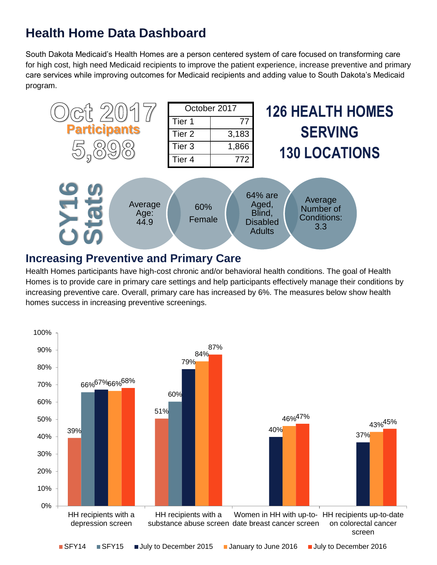# **Health Home Data Dashboard**

South Dakota Medicaid's Health Homes are a person centered system of care focused on transforming care for high cost, high need Medicaid recipients to improve the patient experience, increase preventive and primary care services while improving outcomes for Medicaid recipients and adding value to South Dakota's Medicaid program.



#### **Increasing Preventive and Primary Care**

Health Homes participants have high-cost chronic and/or behavioral health conditions. The goal of Health Homes is to provide care in primary care settings and help participants effectively manage their conditions by increasing preventive care. Overall, primary care has increased by 6%. The measures below show health homes success in increasing preventive screenings.

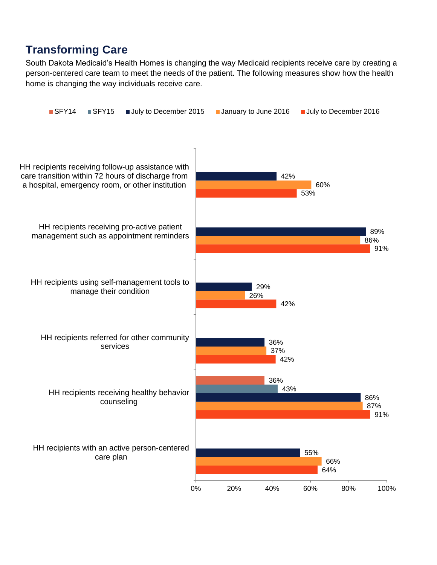### **Transforming Care**

South Dakota Medicaid's Health Homes is changing the way Medicaid recipients receive care by creating a person-centered care team to meet the needs of the patient. The following measures show how the health home is changing the way individuals receive care.

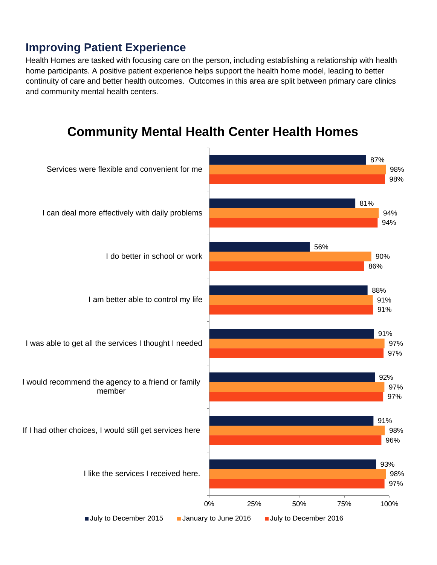### **Improving Patient Experience**

Health Homes are tasked with focusing care on the person, including establishing a relationship with health home participants. A positive patient experience helps support the health home model, leading to better continuity of care and better health outcomes. Outcomes in this area are split between primary care clinics and community mental health centers.

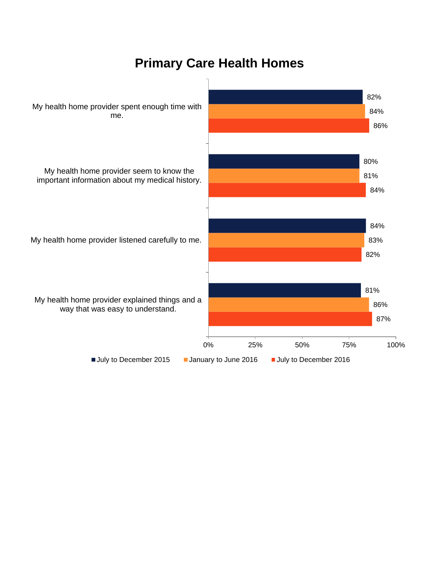## **Primary Care Health Homes**